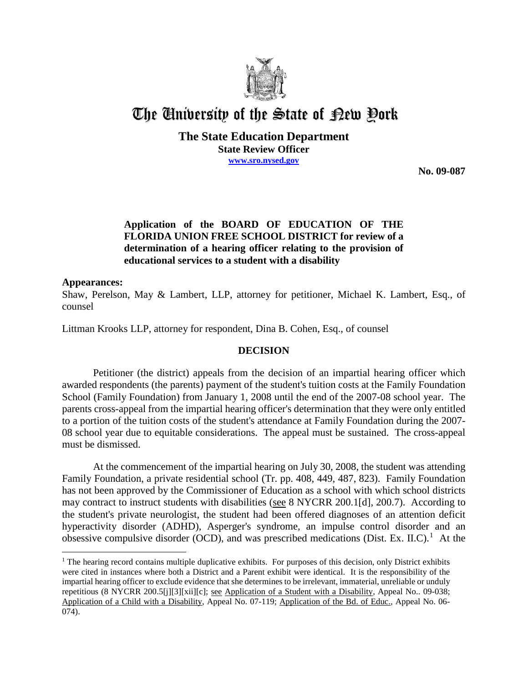

# The University of the State of Pew Pork

**The State Education Department State Review Officer www.sro.nysed.gov**

**No. 09-087** 

## **Application of the BOARD OF EDUCATION OF THE FLORIDA UNION FREE SCHOOL DISTRICT for review of a determination of a hearing officer relating to the provision of educational services to a student with a disability**

#### **Appearances:**

 $\overline{a}$ 

Shaw, Perelson, May & Lambert, LLP, attorney for petitioner, Michael K. Lambert, Esq., of counsel

Littman Krooks LLP, attorney for respondent, Dina B. Cohen, Esq., of counsel

## **DECISION**

Petitioner (the district) appeals from the decision of an impartial hearing officer which awarded respondents (the parents) payment of the student's tuition costs at the Family Foundation School (Family Foundation) from January 1, 2008 until the end of the 2007-08 school year. The parents cross-appeal from the impartial hearing officer's determination that they were only entitled to a portion of the tuition costs of the student's attendance at Family Foundation during the 2007- 08 school year due to equitable considerations. The appeal must be sustained. The cross-appeal must be dismissed.

At the commencement of the impartial hearing on July 30, 2008, the student was attending Family Foundation, a private residential school (Tr. pp. 408, 449, 487, 823). Family Foundation has not been approved by the Commissioner of Education as a school with which school districts may contract to instruct students with disabilities (see 8 NYCRR 200.1[d], 200.7). According to the student's private neurologist, the student had been offered diagnoses of an attention deficit hyperactivity disorder (ADHD), Asperger's syndrome, an impulse control disorder and an obsessive compulsive disorder (OCD), and was prescribed medications (Dist. Ex. II.C).<sup>1</sup> At the

 $<sup>1</sup>$  The hearing record contains multiple duplicative exhibits. For purposes of this decision, only District exhibits</sup> were cited in instances where both a District and a Parent exhibit were identical. It is the responsibility of the impartial hearing officer to exclude evidence that she determines to be irrelevant, immaterial, unreliable or unduly repetitious (8 NYCRR 200.5[j][3][xii][c]; see Application of a Student with a Disability, Appeal No.. 09-038; Application of a Child with a Disability, Appeal No. 07-119; Application of the Bd. of Educ., Appeal No. 06- 074).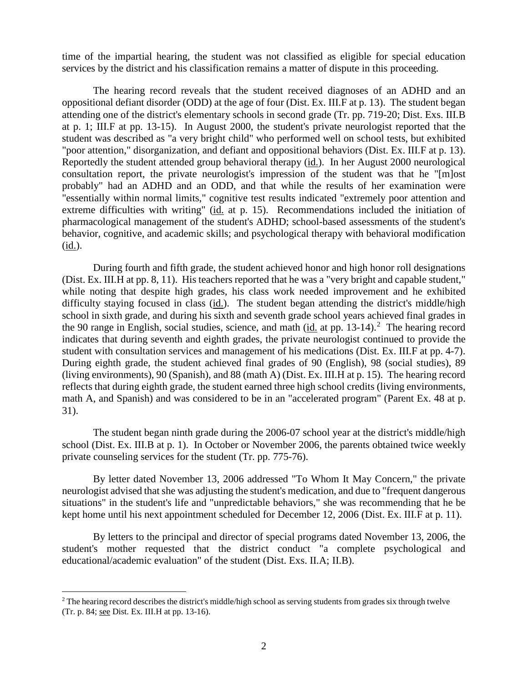time of the impartial hearing, the student was not classified as eligible for special education services by the district and his classification remains a matter of dispute in this proceeding.

The hearing record reveals that the student received diagnoses of an ADHD and an oppositional defiant disorder (ODD) at the age of four (Dist. Ex. III.F at p. 13). The student began attending one of the district's elementary schools in second grade (Tr. pp. 719-20; Dist. Exs. III.B at p. 1; III.F at pp. 13-15). In August 2000, the student's private neurologist reported that the student was described as "a very bright child" who performed well on school tests, but exhibited "poor attention," disorganization, and defiant and oppositional behaviors (Dist. Ex. III.F at p. 13). Reportedly the student attended group behavioral therapy (id.). In her August 2000 neurological consultation report, the private neurologist's impression of the student was that he "[m]ost probably" had an ADHD and an ODD, and that while the results of her examination were "essentially within normal limits," cognitive test results indicated "extremely poor attention and extreme difficulties with writing" (id. at p. 15). Recommendations included the initiation of pharmacological management of the student's ADHD; school-based assessments of the student's behavior, cognitive, and academic skills; and psychological therapy with behavioral modification (id.).

During fourth and fifth grade, the student achieved honor and high honor roll designations (Dist. Ex. III.H at pp. 8, 11). His teachers reported that he was a "very bright and capable student," while noting that despite high grades, his class work needed improvement and he exhibited difficulty staying focused in class (id.). The student began attending the district's middle/high school in sixth grade, and during his sixth and seventh grade school years achieved final grades in the 90 range in English, social studies, science, and math  $(id$  at pp. 13-14).<sup>2</sup> The hearing record indicates that during seventh and eighth grades, the private neurologist continued to provide the student with consultation services and management of his medications (Dist. Ex. III.F at pp. 4-7). During eighth grade, the student achieved final grades of 90 (English), 98 (social studies), 89 (living environments), 90 (Spanish), and 88 (math A) (Dist. Ex. III.H at p. 15). The hearing record reflects that during eighth grade, the student earned three high school credits (living environments, math A, and Spanish) and was considered to be in an "accelerated program" (Parent Ex. 48 at p. 31).

The student began ninth grade during the 2006-07 school year at the district's middle/high school (Dist. Ex. III.B at p. 1). In October or November 2006, the parents obtained twice weekly private counseling services for the student (Tr. pp. 775-76).

By letter dated November 13, 2006 addressed "To Whom It May Concern," the private neurologist advised that she was adjusting the student's medication, and due to "frequent dangerous situations" in the student's life and "unpredictable behaviors," she was recommending that he be kept home until his next appointment scheduled for December 12, 2006 (Dist. Ex. III.F at p. 11).

By letters to the principal and director of special programs dated November 13, 2006, the student's mother requested that the district conduct "a complete psychological and educational/academic evaluation" of the student (Dist. Exs. II.A; II.B).

<sup>&</sup>lt;sup>2</sup> The hearing record describes the district's middle/high school as serving students from grades six through twelve (Tr. p. 84; see Dist. Ex. III.H at pp. 13-16).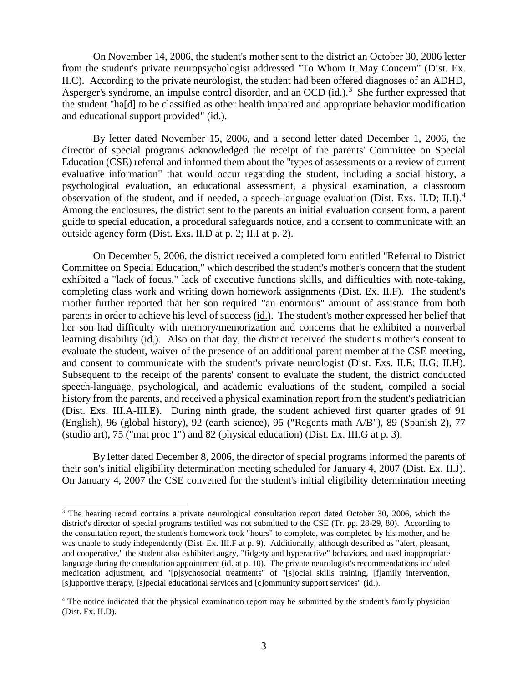On November 14, 2006, the student's mother sent to the district an October 30, 2006 letter from the student's private neuropsychologist addressed "To Whom It May Concern" (Dist. Ex. II.C). According to the private neurologist, the student had been offered diagnoses of an ADHD, Asperger's syndrome, an impulse control disorder, and an OCD (id.).<sup>3</sup> She further expressed that the student "ha[d] to be classified as other health impaired and appropriate behavior modification and educational support provided" (id.).

By letter dated November 15, 2006, and a second letter dated December 1, 2006, the director of special programs acknowledged the receipt of the parents' Committee on Special Education (CSE) referral and informed them about the "types of assessments or a review of current evaluative information" that would occur regarding the student, including a social history, a psychological evaluation, an educational assessment, a physical examination, a classroom observation of the student, and if needed, a speech-language evaluation (Dist. Exs. II.D; II.I).<sup>4</sup> Among the enclosures, the district sent to the parents an initial evaluation consent form, a parent guide to special education, a procedural safeguards notice, and a consent to communicate with an outside agency form (Dist. Exs. II.D at p. 2; II.I at p. 2).

On December 5, 2006, the district received a completed form entitled "Referral to District Committee on Special Education," which described the student's mother's concern that the student exhibited a "lack of focus," lack of executive functions skills, and difficulties with note-taking, completing class work and writing down homework assignments (Dist. Ex. II.F). The student's mother further reported that her son required "an enormous" amount of assistance from both parents in order to achieve his level of success (id.). The student's mother expressed her belief that her son had difficulty with memory/memorization and concerns that he exhibited a nonverbal learning disability (id.). Also on that day, the district received the student's mother's consent to evaluate the student, waiver of the presence of an additional parent member at the CSE meeting, and consent to communicate with the student's private neurologist (Dist. Exs. II.E; II.G; II.H). Subsequent to the receipt of the parents' consent to evaluate the student, the district conducted speech-language, psychological, and academic evaluations of the student, compiled a social history from the parents, and received a physical examination report from the student's pediatrician (Dist. Exs. III.A-III.E). During ninth grade, the student achieved first quarter grades of 91 (English), 96 (global history), 92 (earth science), 95 ("Regents math A/B"), 89 (Spanish 2), 77 (studio art), 75 ("mat proc 1") and 82 (physical education) (Dist. Ex. III.G at p. 3).

By letter dated December 8, 2006, the director of special programs informed the parents of their son's initial eligibility determination meeting scheduled for January 4, 2007 (Dist. Ex. II.J). On January 4, 2007 the CSE convened for the student's initial eligibility determination meeting

<sup>&</sup>lt;sup>3</sup> The hearing record contains a private neurological consultation report dated October 30, 2006, which the district's director of special programs testified was not submitted to the CSE (Tr. pp. 28-29, 80). According to the consultation report, the student's homework took "hours" to complete, was completed by his mother, and he was unable to study independently (Dist. Ex. III.F at p. 9). Additionally, although described as "alert, pleasant, and cooperative," the student also exhibited angry, "fidgety and hyperactive" behaviors, and used inappropriate language during the consultation appointment (id. at p. 10). The private neurologist's recommendations included medication adjustment, and "[p]sychosocial treatments" of "[s]ocial skills training, [f]amily intervention, [s]upportive therapy, [s]pecial educational services and [c]ommunity support services" (id.).

<sup>&</sup>lt;sup>4</sup> The notice indicated that the physical examination report may be submitted by the student's family physician (Dist. Ex. II.D).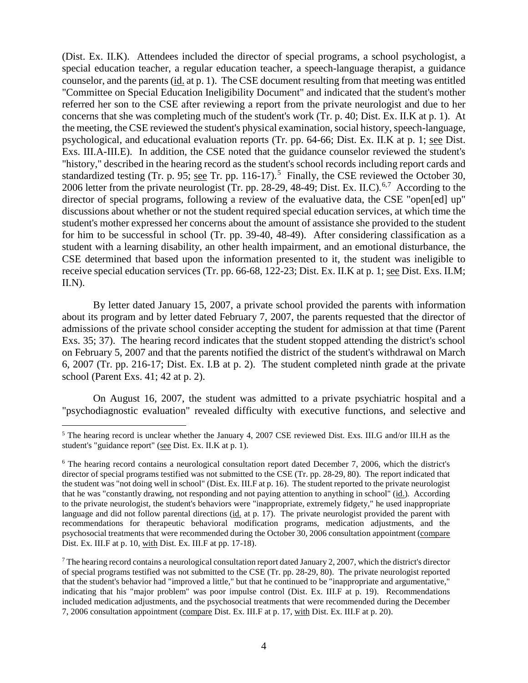(Dist. Ex. II.K). Attendees included the director of special programs, a school psychologist, a special education teacher, a regular education teacher, a speech-language therapist, a guidance counselor, and the parents (id. at p. 1). The CSE document resulting from that meeting was entitled "Committee on Special Education Ineligibility Document" and indicated that the student's mother referred her son to the CSE after reviewing a report from the private neurologist and due to her concerns that she was completing much of the student's work (Tr. p. 40; Dist. Ex. II.K at p. 1). At the meeting, the CSE reviewed the student's physical examination, social history, speech-language, psychological, and educational evaluation reports (Tr. pp. 64-66; Dist. Ex. II.K at p. 1; see Dist. Exs. III.A-III.E). In addition, the CSE noted that the guidance counselor reviewed the student's "history," described in the hearing record as the student's school records including report cards and standardized testing (Tr. p. 95; <u>see</u> Tr. pp. 116-17).<sup>5</sup> Finally, the CSE reviewed the October 30, 2006 letter from the private neurologist (Tr. pp. 28-29, 48-49; Dist. Ex. II.C).<sup>6,7</sup> According to the director of special programs, following a review of the evaluative data, the CSE "open[ed] up" discussions about whether or not the student required special education services, at which time the student's mother expressed her concerns about the amount of assistance she provided to the student for him to be successful in school (Tr. pp. 39-40, 48-49). After considering classification as a student with a learning disability, an other health impairment, and an emotional disturbance, the CSE determined that based upon the information presented to it, the student was ineligible to receive special education services (Tr. pp. 66-68, 122-23; Dist. Ex. II.K at p. 1; see Dist. Exs. II.M;  $II.N.$ 

By letter dated January 15, 2007, a private school provided the parents with information about its program and by letter dated February 7, 2007, the parents requested that the director of admissions of the private school consider accepting the student for admission at that time (Parent Exs. 35; 37). The hearing record indicates that the student stopped attending the district's school on February 5, 2007 and that the parents notified the district of the student's withdrawal on March 6, 2007 (Tr. pp. 216-17; Dist. Ex. I.B at p. 2). The student completed ninth grade at the private school (Parent Exs. 41; 42 at p. 2).

On August 16, 2007, the student was admitted to a private psychiatric hospital and a "psychodiagnostic evaluation" revealed difficulty with executive functions, and selective and

<sup>&</sup>lt;sup>5</sup> The hearing record is unclear whether the January 4, 2007 CSE reviewed Dist. Exs. III.G and/or III.H as the student's "guidance report" (see Dist. Ex. II.K at p. 1).

<sup>&</sup>lt;sup>6</sup> The hearing record contains a neurological consultation report dated December 7, 2006, which the district's director of special programs testified was not submitted to the CSE (Tr. pp. 28-29, 80). The report indicated that the student was "not doing well in school" (Dist. Ex. III.F at p. 16). The student reported to the private neurologist that he was "constantly drawing, not responding and not paying attention to anything in school" (id.). According to the private neurologist, the student's behaviors were "inappropriate, extremely fidgety," he used inappropriate language and did not follow parental directions (id. at p. 17). The private neurologist provided the parent with recommendations for therapeutic behavioral modification programs, medication adjustments, and the psychosocial treatments that were recommended during the October 30, 2006 consultation appointment (compare Dist. Ex. III.F at p. 10, with Dist. Ex. III.F at pp. 17-18).

 $^7$  The hearing record contains a neurological consultation report dated January 2, 2007, which the district's director of special programs testified was not submitted to the CSE (Tr. pp. 28-29, 80). The private neurologist reported that the student's behavior had "improved a little," but that he continued to be "inappropriate and argumentative," indicating that his "major problem" was poor impulse control (Dist. Ex. III.F at p. 19). Recommendations included medication adjustments, and the psychosocial treatments that were recommended during the December 7, 2006 consultation appointment (compare Dist. Ex. III.F at p. 17, with Dist. Ex. III.F at p. 20).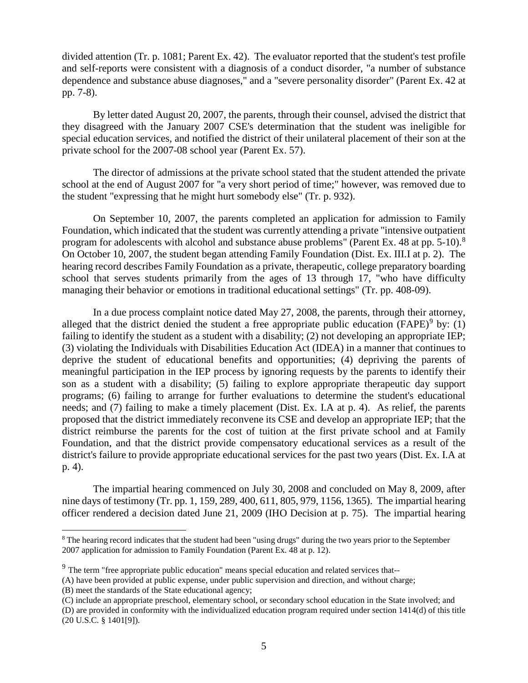divided attention (Tr. p. 1081; Parent Ex. 42). The evaluator reported that the student's test profile and self-reports were consistent with a diagnosis of a conduct disorder, "a number of substance dependence and substance abuse diagnoses," and a "severe personality disorder" (Parent Ex. 42 at pp. 7-8).

By letter dated August 20, 2007, the parents, through their counsel, advised the district that they disagreed with the January 2007 CSE's determination that the student was ineligible for special education services, and notified the district of their unilateral placement of their son at the private school for the 2007-08 school year (Parent Ex. 57).

The director of admissions at the private school stated that the student attended the private school at the end of August 2007 for "a very short period of time;" however, was removed due to the student "expressing that he might hurt somebody else" (Tr. p. 932).

On September 10, 2007, the parents completed an application for admission to Family Foundation, which indicated that the student was currently attending a private "intensive outpatient program for adolescents with alcohol and substance abuse problems" (Parent Ex. 48 at pp. 5-10). $^8$ On October 10, 2007, the student began attending Family Foundation (Dist. Ex. III.I at p. 2). The hearing record describes Family Foundation as a private, therapeutic, college preparatory boarding school that serves students primarily from the ages of 13 through 17, "who have difficulty managing their behavior or emotions in traditional educational settings" (Tr. pp. 408-09).

In a due process complaint notice dated May 27, 2008, the parents, through their attorney, alleged that the district denied the student a free appropriate public education (FAPE)<sup>9</sup> by: (1) failing to identify the student as a student with a disability; (2) not developing an appropriate IEP; (3) violating the Individuals with Disabilities Education Act (IDEA) in a manner that continues to deprive the student of educational benefits and opportunities; (4) depriving the parents of meaningful participation in the IEP process by ignoring requests by the parents to identify their son as a student with a disability; (5) failing to explore appropriate therapeutic day support programs; (6) failing to arrange for further evaluations to determine the student's educational needs; and (7) failing to make a timely placement (Dist. Ex. I.A at p. 4). As relief, the parents proposed that the district immediately reconvene its CSE and develop an appropriate IEP; that the district reimburse the parents for the cost of tuition at the first private school and at Family Foundation, and that the district provide compensatory educational services as a result of the district's failure to provide appropriate educational services for the past two years (Dist. Ex. I.A at p. 4).

The impartial hearing commenced on July 30, 2008 and concluded on May 8, 2009, after nine days of testimony (Tr. pp. 1, 159, 289, 400, 611, 805, 979, 1156, 1365). The impartial hearing officer rendered a decision dated June 21, 2009 (IHO Decision at p. 75). The impartial hearing

(D) are provided in conformity with the individualized education program required under section 1414(d) of this title (20 U.S.C. § 1401[9]).

<sup>&</sup>lt;sup>8</sup> The hearing record indicates that the student had been "using drugs" during the two years prior to the September 2007 application for admission to Family Foundation (Parent Ex. 48 at p. 12).

<sup>&</sup>lt;sup>9</sup> The term "free appropriate public education" means special education and related services that--

<sup>(</sup>A) have been provided at public expense, under public supervision and direction, and without charge;

<sup>(</sup>B) meet the standards of the State educational agency;

<sup>(</sup>C) include an appropriate preschool, elementary school, or secondary school education in the State involved; and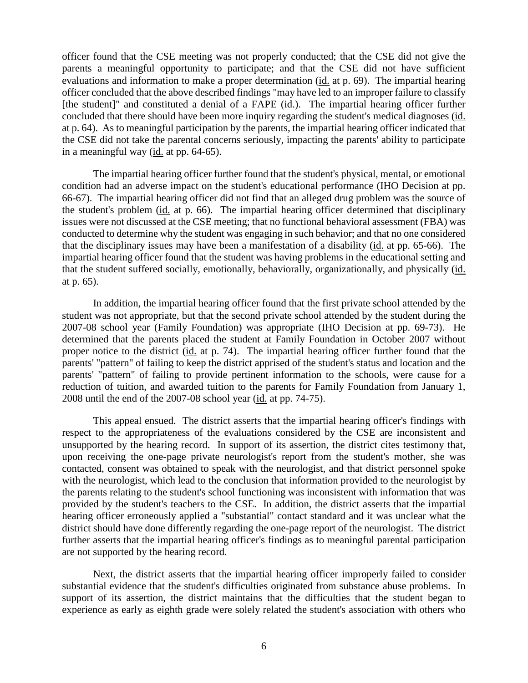officer found that the CSE meeting was not properly conducted; that the CSE did not give the parents a meaningful opportunity to participate; and that the CSE did not have sufficient evaluations and information to make a proper determination (id. at p. 69). The impartial hearing officer concluded that the above described findings "may have led to an improper failure to classify [the student]" and constituted a denial of a FAPE (id.). The impartial hearing officer further concluded that there should have been more inquiry regarding the student's medical diagnoses (id. at p. 64). As to meaningful participation by the parents, the impartial hearing officer indicated that the CSE did not take the parental concerns seriously, impacting the parents' ability to participate in a meaningful way (id. at pp. 64-65).

The impartial hearing officer further found that the student's physical, mental, or emotional condition had an adverse impact on the student's educational performance (IHO Decision at pp. 66-67). The impartial hearing officer did not find that an alleged drug problem was the source of the student's problem (id. at p. 66). The impartial hearing officer determined that disciplinary issues were not discussed at the CSE meeting; that no functional behavioral assessment (FBA) was conducted to determine why the student was engaging in such behavior; and that no one considered that the disciplinary issues may have been a manifestation of a disability (id. at pp. 65-66). The impartial hearing officer found that the student was having problems in the educational setting and that the student suffered socially, emotionally, behaviorally, organizationally, and physically (id. at p. 65).

In addition, the impartial hearing officer found that the first private school attended by the student was not appropriate, but that the second private school attended by the student during the 2007-08 school year (Family Foundation) was appropriate (IHO Decision at pp. 69-73). He determined that the parents placed the student at Family Foundation in October 2007 without proper notice to the district (id. at p. 74). The impartial hearing officer further found that the parents' "pattern" of failing to keep the district apprised of the student's status and location and the parents' "pattern" of failing to provide pertinent information to the schools, were cause for a reduction of tuition, and awarded tuition to the parents for Family Foundation from January 1, 2008 until the end of the 2007-08 school year (id. at pp. 74-75).

This appeal ensued. The district asserts that the impartial hearing officer's findings with respect to the appropriateness of the evaluations considered by the CSE are inconsistent and unsupported by the hearing record. In support of its assertion, the district cites testimony that, upon receiving the one-page private neurologist's report from the student's mother, she was contacted, consent was obtained to speak with the neurologist, and that district personnel spoke with the neurologist, which lead to the conclusion that information provided to the neurologist by the parents relating to the student's school functioning was inconsistent with information that was provided by the student's teachers to the CSE. In addition, the district asserts that the impartial hearing officer erroneously applied a "substantial" contact standard and it was unclear what the district should have done differently regarding the one-page report of the neurologist. The district further asserts that the impartial hearing officer's findings as to meaningful parental participation are not supported by the hearing record.

Next, the district asserts that the impartial hearing officer improperly failed to consider substantial evidence that the student's difficulties originated from substance abuse problems. In support of its assertion, the district maintains that the difficulties that the student began to experience as early as eighth grade were solely related the student's association with others who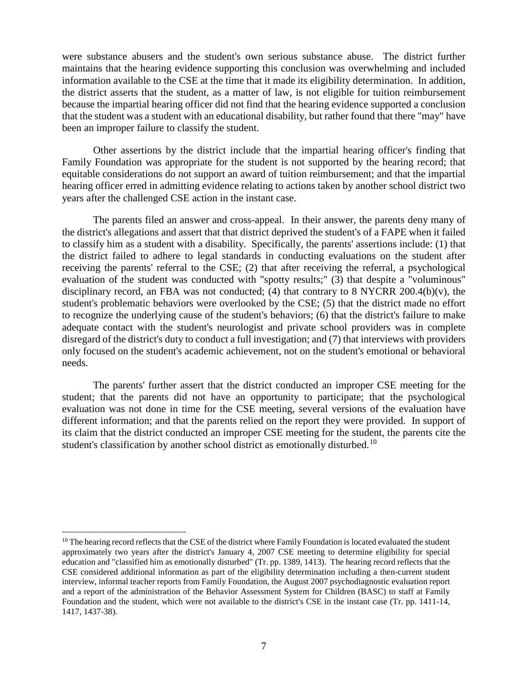were substance abusers and the student's own serious substance abuse. The district further maintains that the hearing evidence supporting this conclusion was overwhelming and included information available to the CSE at the time that it made its eligibility determination. In addition, the district asserts that the student, as a matter of law, is not eligible for tuition reimbursement because the impartial hearing officer did not find that the hearing evidence supported a conclusion that the student was a student with an educational disability, but rather found that there "may" have been an improper failure to classify the student.

Other assertions by the district include that the impartial hearing officer's finding that Family Foundation was appropriate for the student is not supported by the hearing record; that equitable considerations do not support an award of tuition reimbursement; and that the impartial hearing officer erred in admitting evidence relating to actions taken by another school district two years after the challenged CSE action in the instant case.

The parents filed an answer and cross-appeal.In their answer, the parents deny many of the district's allegations and assert that that district deprived the student's of a FAPE when it failed to classify him as a student with a disability. Specifically, the parents' assertions include: (1) that the district failed to adhere to legal standards in conducting evaluations on the student after receiving the parents' referral to the CSE; (2) that after receiving the referral, a psychological evaluation of the student was conducted with "spotty results;" (3) that despite a "voluminous" disciplinary record, an FBA was not conducted; (4) that contrary to 8 NYCRR 200.4(b)(v), the student's problematic behaviors were overlooked by the CSE; (5) that the district made no effort to recognize the underlying cause of the student's behaviors; (6) that the district's failure to make adequate contact with the student's neurologist and private school providers was in complete disregard of the district's duty to conduct a full investigation; and (7) that interviews with providers only focused on the student's academic achievement, not on the student's emotional or behavioral needs.

The parents' further assert that the district conducted an improper CSE meeting for the student; that the parents did not have an opportunity to participate; that the psychological evaluation was not done in time for the CSE meeting, several versions of the evaluation have different information; and that the parents relied on the report they were provided. In support of its claim that the district conducted an improper CSE meeting for the student, the parents cite the student's classification by another school district as emotionally disturbed.<sup>10</sup>

 $10$  The hearing record reflects that the CSE of the district where Family Foundation is located evaluated the student approximately two years after the district's January 4, 2007 CSE meeting to determine eligibility for special education and "classified him as emotionally disturbed" (Tr. pp. 1389, 1413). The hearing record reflects that the CSE considered additional information as part of the eligibility determination including a then-current student interview, informal teacher reports from Family Foundation, the August 2007 psychodiagnostic evaluation report and a report of the administration of the Behavior Assessment System for Children (BASC) to staff at Family Foundation and the student, which were not available to the district's CSE in the instant case (Tr. pp. 1411-14, 1417, 1437-38).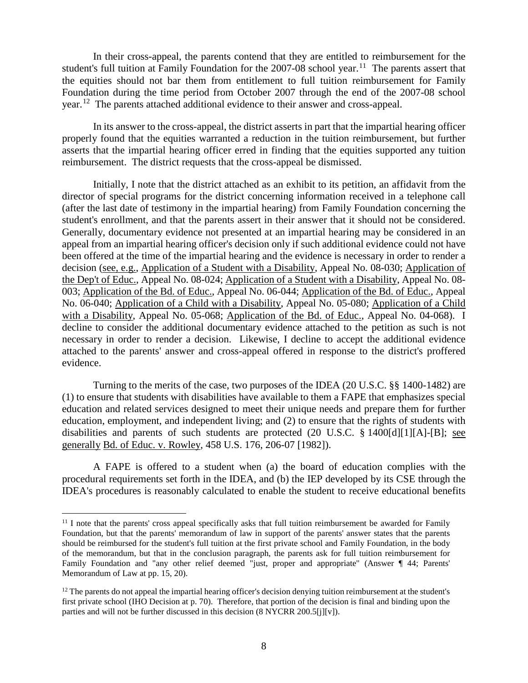In their cross-appeal, the parents contend that they are entitled to reimbursement for the student's full tuition at Family Foundation for the 2007-08 school year.<sup>11</sup> The parents assert that the equities should not bar them from entitlement to full tuition reimbursement for Family Foundation during the time period from October 2007 through the end of the 2007-08 school year.12 The parents attached additional evidence to their answer and cross-appeal.

In its answer to the cross-appeal, the district asserts in part that the impartial hearing officer properly found that the equities warranted a reduction in the tuition reimbursement, but further asserts that the impartial hearing officer erred in finding that the equities supported any tuition reimbursement. The district requests that the cross-appeal be dismissed.

Initially, I note that the district attached as an exhibit to its petition, an affidavit from the director of special programs for the district concerning information received in a telephone call (after the last date of testimony in the impartial hearing) from Family Foundation concerning the student's enrollment, and that the parents assert in their answer that it should not be considered. Generally, documentary evidence not presented at an impartial hearing may be considered in an appeal from an impartial hearing officer's decision only if such additional evidence could not have been offered at the time of the impartial hearing and the evidence is necessary in order to render a decision (see, e.g., Application of a Student with a Disability, Appeal No. 08-030; Application of the Dep't of Educ., Appeal No. 08-024; Application of a Student with a Disability, Appeal No. 08- 003; Application of the Bd. of Educ., Appeal No. 06-044; Application of the Bd. of Educ., Appeal No. 06-040; Application of a Child with a Disability, Appeal No. 05-080; Application of a Child with a Disability, Appeal No. 05-068; Application of the Bd. of Educ., Appeal No. 04-068). I decline to consider the additional documentary evidence attached to the petition as such is not necessary in order to render a decision. Likewise, I decline to accept the additional evidence attached to the parents' answer and cross-appeal offered in response to the district's proffered evidence.

Turning to the merits of the case, two purposes of the IDEA (20 U.S.C. §§ 1400-1482) are (1) to ensure that students with disabilities have available to them a FAPE that emphasizes special education and related services designed to meet their unique needs and prepare them for further education, employment, and independent living; and (2) to ensure that the rights of students with disabilities and parents of such students are protected (20 U.S.C. § 1400[d][1][A]-[B]; see generally Bd. of Educ. v. Rowley, 458 U.S. 176, 206-07 [1982]).

A FAPE is offered to a student when (a) the board of education complies with the procedural requirements set forth in the IDEA, and (b) the IEP developed by its CSE through the IDEA's procedures is reasonably calculated to enable the student to receive educational benefits

 $11$  I note that the parents' cross appeal specifically asks that full tuition reimbursement be awarded for Family Foundation, but that the parents' memorandum of law in support of the parents' answer states that the parents should be reimbursed for the student's full tuition at the first private school and Family Foundation, in the body of the memorandum, but that in the conclusion paragraph, the parents ask for full tuition reimbursement for Family Foundation and "any other relief deemed "just, proper and appropriate" (Answer ¶ 44; Parents' Memorandum of Law at pp. 15, 20).

 $12$  The parents do not appeal the impartial hearing officer's decision denying tuition reimbursement at the student's first private school (IHO Decision at p. 70). Therefore, that portion of the decision is final and binding upon the parties and will not be further discussed in this decision (8 NYCRR 200.5[j][v]).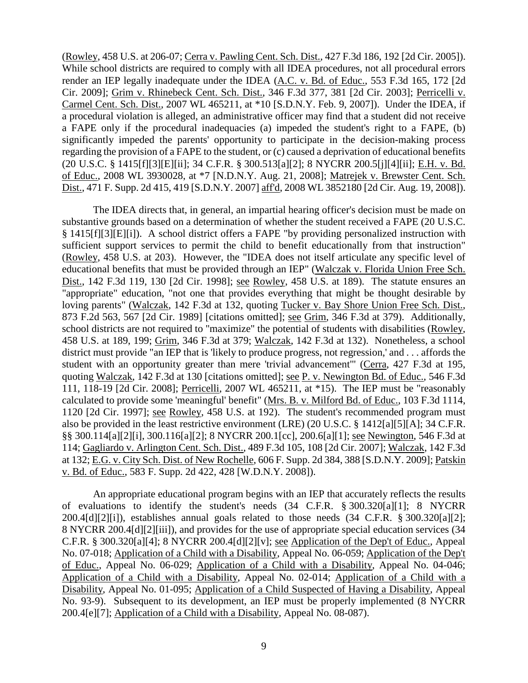(Rowley, 458 U.S. at 206-07; Cerra v. Pawling Cent. Sch. Dist., 427 F.3d 186, 192 [2d Cir. 2005]). While school districts are required to comply with all IDEA procedures, not all procedural errors render an IEP legally inadequate under the IDEA (A.C. v. Bd. of Educ., 553 F.3d 165, 172 [2d Cir. 2009]; Grim v. Rhinebeck Cent. Sch. Dist., 346 F.3d 377, 381 [2d Cir. 2003]; Perricelli v. Carmel Cent. Sch. Dist., 2007 WL 465211, at \*10 [S.D.N.Y. Feb. 9, 2007]). Under the IDEA, if a procedural violation is alleged, an administrative officer may find that a student did not receive a FAPE only if the procedural inadequacies (a) impeded the student's right to a FAPE, (b) significantly impeded the parents' opportunity to participate in the decision-making process regarding the provision of a FAPE to the student, or (c) caused a deprivation of educational benefits (20 U.S.C. § 1415[f][3][E][ii]; 34 C.F.R. § 300.513[a][2]; 8 NYCRR 200.5[j][4][ii]; E.H. v. Bd. of Educ., 2008 WL 3930028, at \*7 [N.D.N.Y. Aug. 21, 2008]; Matrejek v. Brewster Cent. Sch. Dist., 471 F. Supp. 2d 415, 419 [S.D.N.Y. 2007] aff'd, 2008 WL 3852180 [2d Cir. Aug. 19, 2008]).

The IDEA directs that, in general, an impartial hearing officer's decision must be made on substantive grounds based on a determination of whether the student received a FAPE (20 U.S.C. § 1415[f][3][E][i]). A school district offers a FAPE "by providing personalized instruction with sufficient support services to permit the child to benefit educationally from that instruction" (Rowley, 458 U.S. at 203). However, the "IDEA does not itself articulate any specific level of educational benefits that must be provided through an IEP" (Walczak v. Florida Union Free Sch. Dist., 142 F.3d 119, 130 [2d Cir. 1998]; see Rowley, 458 U.S. at 189). The statute ensures an "appropriate" education, "not one that provides everything that might be thought desirable by loving parents" (Walczak, 142 F.3d at 132, quoting Tucker v. Bay Shore Union Free Sch. Dist., 873 F.2d 563, 567 [2d Cir. 1989] [citations omitted]; see Grim, 346 F.3d at 379). Additionally, school districts are not required to "maximize" the potential of students with disabilities (Rowley, 458 U.S. at 189, 199; Grim, 346 F.3d at 379; Walczak, 142 F.3d at 132). Nonetheless, a school district must provide "an IEP that is 'likely to produce progress, not regression,' and . . . affords the student with an opportunity greater than mere 'trivial advancement'" (Cerra, 427 F.3d at 195, quoting Walczak, 142 F.3d at 130 [citations omitted]; see P. v. Newington Bd. of Educ., 546 F.3d 111, 118-19 [2d Cir. 2008]; Perricelli, 2007 WL 465211, at \*15). The IEP must be "reasonably calculated to provide some 'meaningful' benefit" (Mrs. B. v. Milford Bd. of Educ., 103 F.3d 1114, 1120 [2d Cir. 1997]; see Rowley, 458 U.S. at 192). The student's recommended program must also be provided in the least restrictive environment (LRE) (20 U.S.C. § 1412[a][5][A]; 34 C.F.R. §§ 300.114[a][2][i], 300.116[a][2]; 8 NYCRR 200.1[cc], 200.6[a][1]; see Newington, 546 F.3d at 114; Gagliardo v. Arlington Cent. Sch. Dist., 489 F.3d 105, 108 [2d Cir. 2007]; Walczak, 142 F.3d at 132; E.G. v. City Sch. Dist. of New Rochelle, 606 F. Supp. 2d 384, 388 [S.D.N.Y. 2009]; Patskin v. Bd. of Educ., 583 F. Supp. 2d 422, 428 [W.D.N.Y. 2008]).

An appropriate educational program begins with an IEP that accurately reflects the results of evaluations to identify the student's needs (34 C.F.R. § 300.320[a][1]; 8 NYCRR 200.4[d][2][i]), establishes annual goals related to those needs (34 C.F.R. § 300.320[a][2]; 8 NYCRR 200.4[d][2][iii]), and provides for the use of appropriate special education services (34 C.F.R. § 300.320[a][4]; 8 NYCRR 200.4[d][2][v]; see Application of the Dep't of Educ., Appeal No. 07-018; Application of a Child with a Disability, Appeal No. 06-059; Application of the Dep't of Educ., Appeal No. 06-029; Application of a Child with a Disability, Appeal No. 04-046; Application of a Child with a Disability, Appeal No. 02-014; Application of a Child with a Disability, Appeal No. 01-095; Application of a Child Suspected of Having a Disability, Appeal No. 93-9). Subsequent to its development, an IEP must be properly implemented (8 NYCRR 200.4[e][7]; Application of a Child with a Disability, Appeal No. 08-087).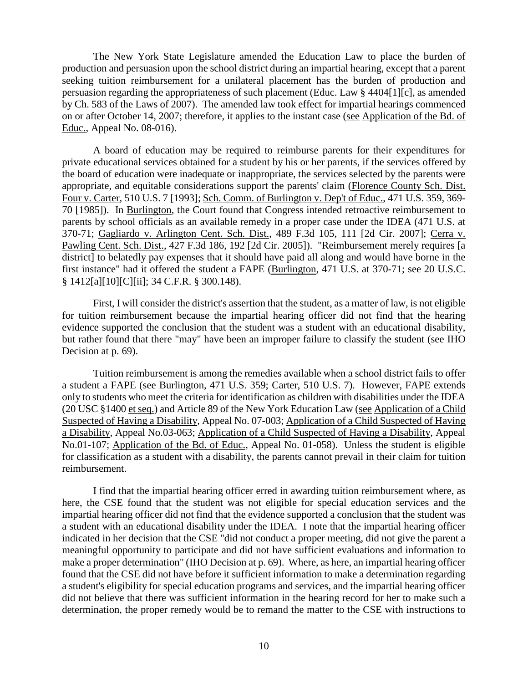The New York State Legislature amended the Education Law to place the burden of production and persuasion upon the school district during an impartial hearing, except that a parent seeking tuition reimbursement for a unilateral placement has the burden of production and persuasion regarding the appropriateness of such placement (Educ. Law § 4404[1][c], as amended by Ch. 583 of the Laws of 2007). The amended law took effect for impartial hearings commenced on or after October 14, 2007; therefore, it applies to the instant case (see Application of the Bd. of Educ., Appeal No. 08-016).

A board of education may be required to reimburse parents for their expenditures for private educational services obtained for a student by his or her parents, if the services offered by the board of education were inadequate or inappropriate, the services selected by the parents were appropriate, and equitable considerations support the parents' claim (Florence County Sch. Dist. Four v. Carter, 510 U.S. 7 [1993]; Sch. Comm. of Burlington v. Dep't of Educ., 471 U.S. 359, 369- 70 [1985]). In Burlington, the Court found that Congress intended retroactive reimbursement to parents by school officials as an available remedy in a proper case under the IDEA (471 U.S. at 370-71; Gagliardo v. Arlington Cent. Sch. Dist., 489 F.3d 105, 111 [2d Cir. 2007]; Cerra v. Pawling Cent. Sch. Dist., 427 F.3d 186, 192 [2d Cir. 2005]). "Reimbursement merely requires [a district] to belatedly pay expenses that it should have paid all along and would have borne in the first instance" had it offered the student a FAPE (Burlington, 471 U.S. at 370-71; see 20 U.S.C. § 1412[a][10][C][ii]; 34 C.F.R. § 300.148).

First, I will consider the district's assertion that the student, as a matter of law, is not eligible for tuition reimbursement because the impartial hearing officer did not find that the hearing evidence supported the conclusion that the student was a student with an educational disability, but rather found that there "may" have been an improper failure to classify the student (see IHO Decision at p. 69).

Tuition reimbursement is among the remedies available when a school district fails to offer a student a FAPE (see Burlington, 471 U.S. 359; Carter, 510 U.S. 7). However, FAPE extends only to students who meet the criteria for identification as children with disabilities under the IDEA (20 USC §1400 et seq.) and Article 89 of the New York Education Law (see Application of a Child Suspected of Having a Disability, Appeal No. 07-003; Application of a Child Suspected of Having a Disability, Appeal No.03-063; Application of a Child Suspected of Having a Disability, Appeal No.01-107; Application of the Bd. of Educ., Appeal No. 01-058). Unless the student is eligible for classification as a student with a disability, the parents cannot prevail in their claim for tuition reimbursement.

I find that the impartial hearing officer erred in awarding tuition reimbursement where, as here, the CSE found that the student was not eligible for special education services and the impartial hearing officer did not find that the evidence supported a conclusion that the student was a student with an educational disability under the IDEA. I note that the impartial hearing officer indicated in her decision that the CSE "did not conduct a proper meeting, did not give the parent a meaningful opportunity to participate and did not have sufficient evaluations and information to make a proper determination" (IHO Decision at p. 69). Where, as here, an impartial hearing officer found that the CSE did not have before it sufficient information to make a determination regarding a student's eligibility for special education programs and services, and the impartial hearing officer did not believe that there was sufficient information in the hearing record for her to make such a determination, the proper remedy would be to remand the matter to the CSE with instructions to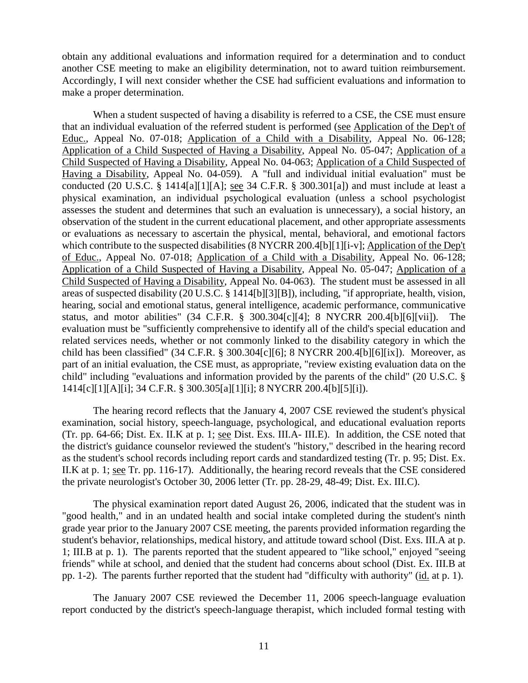obtain any additional evaluations and information required for a determination and to conduct another CSE meeting to make an eligibility determination, not to award tuition reimbursement. Accordingly, I will next consider whether the CSE had sufficient evaluations and information to make a proper determination.

When a student suspected of having a disability is referred to a CSE, the CSE must ensure that an individual evaluation of the referred student is performed (see Application of the Dep't of Educ., Appeal No. 07-018; Application of a Child with a Disability, Appeal No. 06-128; Application of a Child Suspected of Having a Disability, Appeal No. 05-047; Application of a Child Suspected of Having a Disability, Appeal No. 04-063; Application of a Child Suspected of Having a Disability, Appeal No. 04-059). A "full and individual initial evaluation" must be conducted (20 U.S.C. § 1414[a][1][A]; see 34 C.F.R. § 300.301[a]) and must include at least a physical examination, an individual psychological evaluation (unless a school psychologist assesses the student and determines that such an evaluation is unnecessary), a social history, an observation of the student in the current educational placement, and other appropriate assessments or evaluations as necessary to ascertain the physical, mental, behavioral, and emotional factors which contribute to the suspected disabilities (8 NYCRR 200.4[b][1][i-v]; Application of the Dep't of Educ., Appeal No. 07-018; Application of a Child with a Disability, Appeal No. 06-128; Application of a Child Suspected of Having a Disability, Appeal No. 05-047; Application of a Child Suspected of Having a Disability, Appeal No. 04-063). The student must be assessed in all areas of suspected disability (20 U.S.C. § 1414[b][3][B]), including, "if appropriate, health, vision, hearing, social and emotional status, general intelligence, academic performance, communicative status, and motor abilities" (34 C.F.R. § 300.304[c][4]; 8 NYCRR 200.4[b][6][vii]). The evaluation must be "sufficiently comprehensive to identify all of the child's special education and related services needs, whether or not commonly linked to the disability category in which the child has been classified" (34 C.F.R. § 300.304[c][6]; 8 NYCRR 200.4[b][6][ix]). Moreover, as part of an initial evaluation, the CSE must, as appropriate, "review existing evaluation data on the child" including "evaluations and information provided by the parents of the child" (20 U.S.C. § 1414[c][1][A][i]; 34 C.F.R. § 300.305[a][1][i]; 8 NYCRR 200.4[b][5][i]).

The hearing record reflects that the January 4, 2007 CSE reviewed the student's physical examination, social history, speech-language, psychological, and educational evaluation reports (Tr. pp. 64-66; Dist. Ex. II.K at p. 1; see Dist. Exs. III.A- III.E). In addition, the CSE noted that the district's guidance counselor reviewed the student's "history," described in the hearing record as the student's school records including report cards and standardized testing (Tr. p. 95; Dist. Ex. II.K at p. 1; see Tr. pp. 116-17). Additionally, the hearing record reveals that the CSE considered the private neurologist's October 30, 2006 letter (Tr. pp. 28-29, 48-49; Dist. Ex. III.C).

The physical examination report dated August 26, 2006, indicated that the student was in "good health," and in an undated health and social intake completed during the student's ninth grade year prior to the January 2007 CSE meeting, the parents provided information regarding the student's behavior, relationships, medical history, and attitude toward school (Dist. Exs. III.A at p. 1; III.B at p. 1). The parents reported that the student appeared to "like school," enjoyed "seeing friends" while at school, and denied that the student had concerns about school (Dist. Ex. III.B at pp. 1-2). The parents further reported that the student had "difficulty with authority" (id. at p. 1).

The January 2007 CSE reviewed the December 11, 2006 speech-language evaluation report conducted by the district's speech-language therapist, which included formal testing with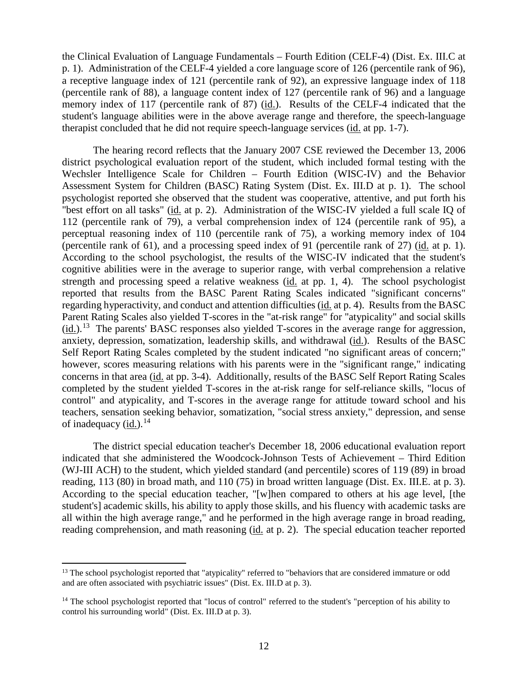the Clinical Evaluation of Language Fundamentals – Fourth Edition (CELF-4) (Dist. Ex. III.C at p. 1). Administration of the CELF-4 yielded a core language score of 126 (percentile rank of 96), a receptive language index of 121 (percentile rank of 92), an expressive language index of 118 (percentile rank of 88), a language content index of 127 (percentile rank of 96) and a language memory index of 117 (percentile rank of 87) (id.). Results of the CELF-4 indicated that the student's language abilities were in the above average range and therefore, the speech-language therapist concluded that he did not require speech-language services (id. at pp. 1-7).

The hearing record reflects that the January 2007 CSE reviewed the December 13, 2006 district psychological evaluation report of the student, which included formal testing with the Wechsler Intelligence Scale for Children – Fourth Edition (WISC-IV) and the Behavior Assessment System for Children (BASC) Rating System (Dist. Ex. III.D at p. 1). The school psychologist reported she observed that the student was cooperative, attentive, and put forth his "best effort on all tasks" (id. at p. 2). Administration of the WISC-IV yielded a full scale IQ of 112 (percentile rank of 79), a verbal comprehension index of 124 (percentile rank of 95), a perceptual reasoning index of 110 (percentile rank of 75), a working memory index of 104 (percentile rank of 61), and a processing speed index of 91 (percentile rank of 27) (id. at p. 1). According to the school psychologist, the results of the WISC-IV indicated that the student's cognitive abilities were in the average to superior range, with verbal comprehension a relative strength and processing speed a relative weakness (id. at pp. 1, 4). The school psychologist reported that results from the BASC Parent Rating Scales indicated "significant concerns" regarding hyperactivity, and conduct and attention difficulties (id. at p. 4). Results from the BASC Parent Rating Scales also yielded T-scores in the "at-risk range" for "atypicality" and social skills  $(id.)$ .<sup>13</sup> The parents' BASC responses also yielded T-scores in the average range for aggression, anxiety, depression, somatization, leadership skills, and withdrawal (id.). Results of the BASC Self Report Rating Scales completed by the student indicated "no significant areas of concern;" however, scores measuring relations with his parents were in the "significant range," indicating concerns in that area (id. at pp. 3-4). Additionally, results of the BASC Self Report Rating Scales completed by the student yielded T-scores in the at-risk range for self-reliance skills, "locus of control" and atypicality, and T-scores in the average range for attitude toward school and his teachers, sensation seeking behavior, somatization, "social stress anxiety," depression, and sense of inadequacy (id.).<sup>14</sup>

The district special education teacher's December 18, 2006 educational evaluation report indicated that she administered the Woodcock-Johnson Tests of Achievement – Third Edition (WJ-III ACH) to the student, which yielded standard (and percentile) scores of 119 (89) in broad reading, 113 (80) in broad math, and 110 (75) in broad written language (Dist. Ex. III.E. at p. 3). According to the special education teacher, "[w]hen compared to others at his age level, [the student's] academic skills, his ability to apply those skills, and his fluency with academic tasks are all within the high average range," and he performed in the high average range in broad reading, reading comprehension, and math reasoning (id. at p. 2). The special education teacher reported

<sup>&</sup>lt;sup>13</sup> The school psychologist reported that "atypicality" referred to "behaviors that are considered immature or odd and are often associated with psychiatric issues" (Dist. Ex. III.D at p. 3).

<sup>&</sup>lt;sup>14</sup> The school psychologist reported that "locus of control" referred to the student's "perception of his ability to control his surrounding world" (Dist. Ex. III.D at p. 3).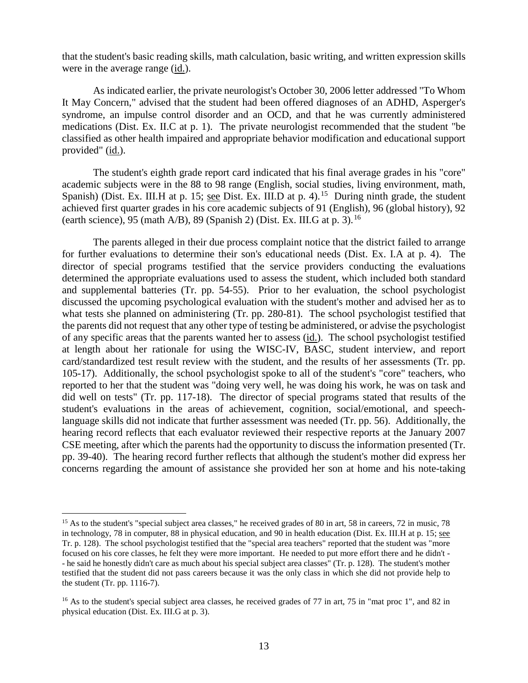that the student's basic reading skills, math calculation, basic writing, and written expression skills were in the average range (id.).

As indicated earlier, the private neurologist's October 30, 2006 letter addressed "To Whom It May Concern," advised that the student had been offered diagnoses of an ADHD, Asperger's syndrome, an impulse control disorder and an OCD, and that he was currently administered medications (Dist. Ex. II.C at p. 1). The private neurologist recommended that the student "be classified as other health impaired and appropriate behavior modification and educational support provided"  $(id.)$ .

The student's eighth grade report card indicated that his final average grades in his "core" academic subjects were in the 88 to 98 range (English, social studies, living environment, math, Spanish) (Dist. Ex. III.H at p. 15; see Dist. Ex. III.D at p. 4).<sup>15</sup> During ninth grade, the student achieved first quarter grades in his core academic subjects of 91 (English), 96 (global history), 92 (earth science), 95 (math A/B), 89 (Spanish 2) (Dist. Ex. III.G at p. 3).<sup>16</sup>

The parents alleged in their due process complaint notice that the district failed to arrange for further evaluations to determine their son's educational needs (Dist. Ex. I.A at p. 4). The director of special programs testified that the service providers conducting the evaluations determined the appropriate evaluations used to assess the student, which included both standard and supplemental batteries (Tr. pp. 54-55). Prior to her evaluation, the school psychologist discussed the upcoming psychological evaluation with the student's mother and advised her as to what tests she planned on administering (Tr. pp. 280-81). The school psychologist testified that the parents did not request that any other type of testing be administered, or advise the psychologist of any specific areas that the parents wanted her to assess (id.). The school psychologist testified at length about her rationale for using the WISC-IV, BASC, student interview, and report card/standardized test result review with the student, and the results of her assessments (Tr. pp. 105-17). Additionally, the school psychologist spoke to all of the student's "core" teachers, who reported to her that the student was "doing very well, he was doing his work, he was on task and did well on tests" (Tr. pp. 117-18). The director of special programs stated that results of the student's evaluations in the areas of achievement, cognition, social/emotional, and speechlanguage skills did not indicate that further assessment was needed (Tr. pp. 56). Additionally, the hearing record reflects that each evaluator reviewed their respective reports at the January 2007 CSE meeting, after which the parents had the opportunity to discuss the information presented (Tr. pp. 39-40). The hearing record further reflects that although the student's mother did express her concerns regarding the amount of assistance she provided her son at home and his note-taking

<sup>&</sup>lt;sup>15</sup> As to the student's "special subject area classes," he received grades of 80 in art, 58 in careers, 72 in music, 78 in technology, 78 in computer, 88 in physical education, and 90 in health education (Dist. Ex. III.H at p. 15; see Tr. p. 128). The school psychologist testified that the "special area teachers" reported that the student was "more focused on his core classes, he felt they were more important. He needed to put more effort there and he didn't - - he said he honestly didn't care as much about his special subject area classes" (Tr. p. 128). The student's mother testified that the student did not pass careers because it was the only class in which she did not provide help to the student (Tr. pp. 1116-7).

<sup>&</sup>lt;sup>16</sup> As to the student's special subject area classes, he received grades of 77 in art, 75 in "mat proc 1", and 82 in physical education (Dist. Ex. III.G at p. 3).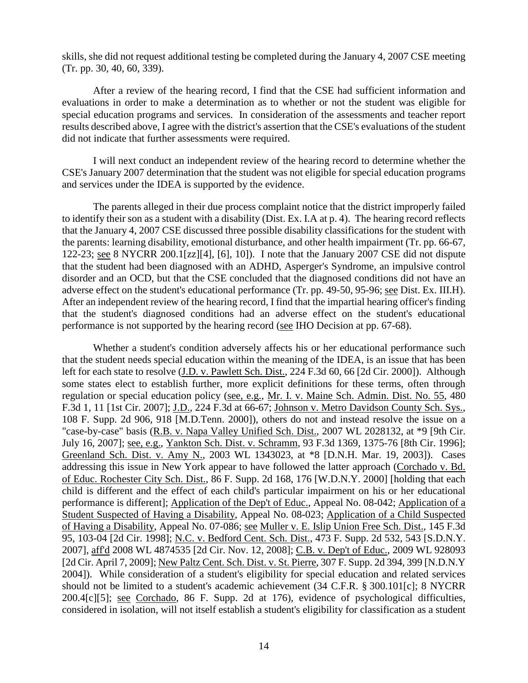skills, she did not request additional testing be completed during the January 4, 2007 CSE meeting (Tr. pp. 30, 40, 60, 339).

After a review of the hearing record, I find that the CSE had sufficient information and evaluations in order to make a determination as to whether or not the student was eligible for special education programs and services. In consideration of the assessments and teacher report results described above, I agree with the district's assertion that the CSE's evaluations of the student did not indicate that further assessments were required.

I will next conduct an independent review of the hearing record to determine whether the CSE's January 2007 determination that the student was not eligible for special education programs and services under the IDEA is supported by the evidence.

The parents alleged in their due process complaint notice that the district improperly failed to identify their son as a student with a disability (Dist. Ex. I.A at p. 4). The hearing record reflects that the January 4, 2007 CSE discussed three possible disability classifications for the student with the parents: learning disability, emotional disturbance, and other health impairment (Tr. pp. 66-67, 122-23; see 8 NYCRR 200.1[zz][4], [6], 10]). I note that the January 2007 CSE did not dispute that the student had been diagnosed with an ADHD, Asperger's Syndrome, an impulsive control disorder and an OCD, but that the CSE concluded that the diagnosed conditions did not have an adverse effect on the student's educational performance (Tr. pp. 49-50, 95-96; see Dist. Ex. III.H). After an independent review of the hearing record, I find that the impartial hearing officer's finding that the student's diagnosed conditions had an adverse effect on the student's educational performance is not supported by the hearing record (see IHO Decision at pp. 67-68).

Whether a student's condition adversely affects his or her educational performance such that the student needs special education within the meaning of the IDEA, is an issue that has been left for each state to resolve (J.D. v. Pawlett Sch. Dist., 224 F.3d 60, 66 [2d Cir. 2000]). Although some states elect to establish further, more explicit definitions for these terms, often through regulation or special education policy (see, e.g., Mr. I. v. Maine Sch. Admin. Dist. No. 55, 480 F.3d 1, 11 [1st Cir. 2007]; J.D., 224 F.3d at 66-67; Johnson v. Metro Davidson County Sch. Sys., 108 F. Supp. 2d 906, 918 [M.D.Tenn. 2000]), others do not and instead resolve the issue on a "case-by-case" basis (R.B. v. Napa Valley Unified Sch. Dist., 2007 WL 2028132, at \*9 [9th Cir. July 16, 2007]; see, e.g., Yankton Sch. Dist. v. Schramm, 93 F.3d 1369, 1375-76 [8th Cir. 1996]; Greenland Sch. Dist. v. Amy N., 2003 WL 1343023, at \*8 [D.N.H. Mar. 19, 2003]). Cases addressing this issue in New York appear to have followed the latter approach (Corchado v. Bd. of Educ. Rochester City Sch. Dist., 86 F. Supp. 2d 168, 176 [W.D.N.Y. 2000] [holding that each child is different and the effect of each child's particular impairment on his or her educational performance is different]; Application of the Dep't of Educ., Appeal No. 08-042; Application of a Student Suspected of Having a Disability, Appeal No. 08-023; Application of a Child Suspected of Having a Disability, Appeal No. 07-086; see Muller v. E. Islip Union Free Sch. Dist., 145 F.3d 95, 103-04 [2d Cir. 1998]; N.C. v. Bedford Cent. Sch. Dist., 473 F. Supp. 2d 532, 543 [S.D.N.Y. 2007], aff'd 2008 WL 4874535 [2d Cir. Nov. 12, 2008]; C.B. v. Dep't of Educ., 2009 WL 928093 [2d Cir. April 7, 2009]; New Paltz Cent. Sch. Dist. v. St. Pierre, 307 F. Supp. 2d 394, 399 [N.D.N.Y 2004]). While consideration of a student's eligibility for special education and related services should not be limited to a student's academic achievement (34 C.F.R. § 300.101[c]; 8 NYCRR 200.4[c][5]; see Corchado, 86 F. Supp. 2d at 176), evidence of psychological difficulties, considered in isolation, will not itself establish a student's eligibility for classification as a student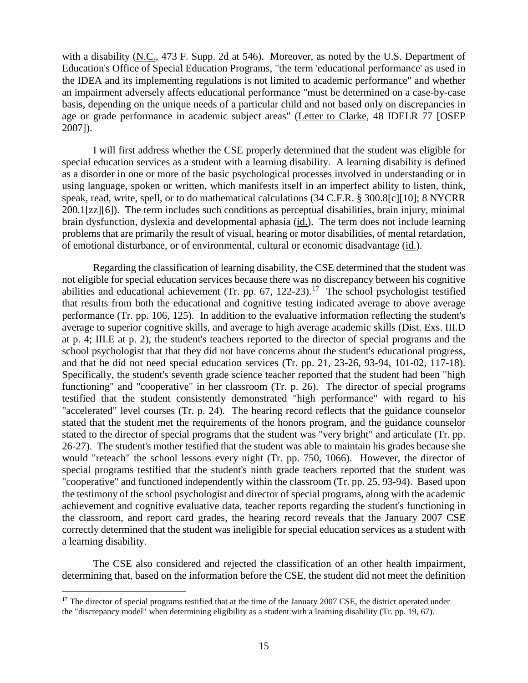with a disability (N.C., 473 F. Supp. 2d at 546). Moreover, as noted by the U.S. Department of Education's Office of Special Education Programs, "the term 'educational performance' as used in the IDEA and its implementing regulations is not limited to academic performance" and whether an impairment adversely affects educational performance "must be determined on a case-by-case basis, depending on the unique needs of a particular child and not based only on discrepancies in age or grade performance in academic subject areas" (Letter to Clarke, 48 IDELR 77 [OSEP 2007]).

I will first address whether the CSE properly determined that the student was eligible for special education services as a student with a learning disability. A learning disability is defined as a disorder in one or more of the basic psychological processes involved in understanding or in using language, spoken or written, which manifests itself in an imperfect ability to listen, think, speak, read, write, spell, or to do mathematical calculations (34 C.F.R. § 300.8[c][10]; 8 NYCRR 200.1[zz][6]). The term includes such conditions as perceptual disabilities, brain injury, minimal brain dysfunction, dyslexia and developmental aphasia (id.). The term does not include learning problems that are primarily the result of visual, hearing or motor disabilities, of mental retardation, of emotional disturbance, or of environmental, cultural or economic disadvantage (id.).

Regarding the classification of learning disability, the CSE determined that the student was not eligible for special education services because there was no discrepancy between his cognitive abilities and educational achievement (Tr. pp. 67, 122-23).17 The school psychologist testified that results from both the educational and cognitive testing indicated average to above average performance (Tr. pp. 106, 125). In addition to the evaluative information reflecting the student's average to superior cognitive skills, and average to high average academic skills (Dist. Exs. III.D at p. 4; III.E at p. 2), the student's teachers reported to the director of special programs and the school psychologist that that they did not have concerns about the student's educational progress, and that he did not need special education services (Tr. pp. 21, 23-26, 93-94, 101-02, 117-18). Specifically, the student's seventh grade science teacher reported that the student had been "high functioning" and "cooperative" in her classroom (Tr. p. 26). The director of special programs testified that the student consistently demonstrated "high performance" with regard to his "accelerated" level courses (Tr. p. 24). The hearing record reflects that the guidance counselor stated that the student met the requirements of the honors program, and the guidance counselor stated to the director of special programs that the student was "very bright" and articulate (Tr. pp. 26-27). The student's mother testified that the student was able to maintain his grades because she would "reteach" the school lessons every night (Tr. pp. 750, 1066). However, the director of special programs testified that the student's ninth grade teachers reported that the student was "cooperative" and functioned independently within the classroom (Tr. pp. 25, 93-94). Based upon the testimony of the school psychologist and director of special programs, along with the academic achievement and cognitive evaluative data, teacher reports regarding the student's functioning in the classroom, and report card grades, the hearing record reveals that the January 2007 CSE correctly determined that the student was ineligible for special education services as a student with a learning disability.

The CSE also considered and rejected the classification of an other health impairment, determining that, based on the information before the CSE, the student did not meet the definition

<sup>&</sup>lt;sup>17</sup> The director of special programs testified that at the time of the January 2007 CSE, the district operated under the "discrepancy model" when determining eligibility as a student with a learning disability (Tr. pp. 19, 67).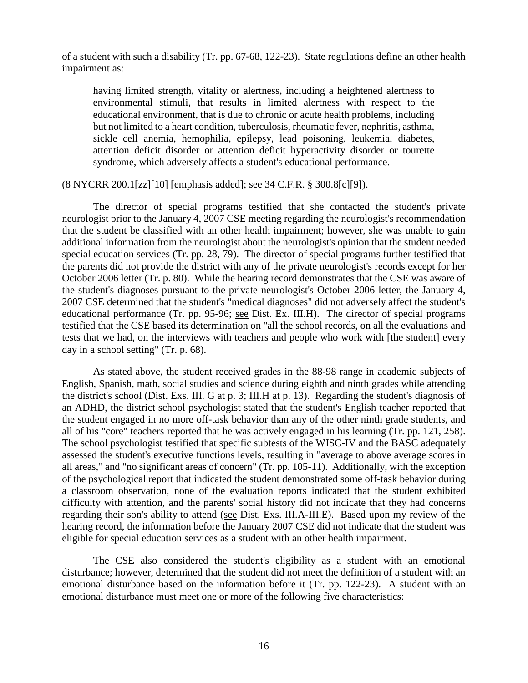of a student with such a disability (Tr. pp. 67-68, 122-23). State regulations define an other health impairment as:

having limited strength, vitality or alertness, including a heightened alertness to environmental stimuli, that results in limited alertness with respect to the educational environment, that is due to chronic or acute health problems, including but not limited to a heart condition, tuberculosis, rheumatic fever, nephritis, asthma, sickle cell anemia, hemophilia, epilepsy, lead poisoning, leukemia, diabetes, attention deficit disorder or attention deficit hyperactivity disorder or tourette syndrome, which adversely affects a student's educational performance.

(8 NYCRR 200.1[zz][10] [emphasis added]; see 34 C.F.R. § 300.8[c][9]).

The director of special programs testified that she contacted the student's private neurologist prior to the January 4, 2007 CSE meeting regarding the neurologist's recommendation that the student be classified with an other health impairment; however, she was unable to gain additional information from the neurologist about the neurologist's opinion that the student needed special education services (Tr. pp. 28, 79). The director of special programs further testified that the parents did not provide the district with any of the private neurologist's records except for her October 2006 letter (Tr. p. 80). While the hearing record demonstrates that the CSE was aware of the student's diagnoses pursuant to the private neurologist's October 2006 letter, the January 4, 2007 CSE determined that the student's "medical diagnoses" did not adversely affect the student's educational performance (Tr. pp. 95-96; see Dist. Ex. III.H). The director of special programs testified that the CSE based its determination on "all the school records, on all the evaluations and tests that we had, on the interviews with teachers and people who work with [the student] every day in a school setting" (Tr. p. 68).

As stated above, the student received grades in the 88-98 range in academic subjects of English, Spanish, math, social studies and science during eighth and ninth grades while attending the district's school (Dist. Exs. III. G at p. 3; III.H at p. 13). Regarding the student's diagnosis of an ADHD, the district school psychologist stated that the student's English teacher reported that the student engaged in no more off-task behavior than any of the other ninth grade students, and all of his "core" teachers reported that he was actively engaged in his learning (Tr. pp. 121, 258). The school psychologist testified that specific subtests of the WISC-IV and the BASC adequately assessed the student's executive functions levels, resulting in "average to above average scores in all areas," and "no significant areas of concern" (Tr. pp. 105-11). Additionally, with the exception of the psychological report that indicated the student demonstrated some off-task behavior during a classroom observation, none of the evaluation reports indicated that the student exhibited difficulty with attention, and the parents' social history did not indicate that they had concerns regarding their son's ability to attend (see Dist. Exs. III.A-III.E). Based upon my review of the hearing record, the information before the January 2007 CSE did not indicate that the student was eligible for special education services as a student with an other health impairment.

The CSE also considered the student's eligibility as a student with an emotional disturbance; however, determined that the student did not meet the definition of a student with an emotional disturbance based on the information before it (Tr. pp. 122-23). A student with an emotional disturbance must meet one or more of the following five characteristics: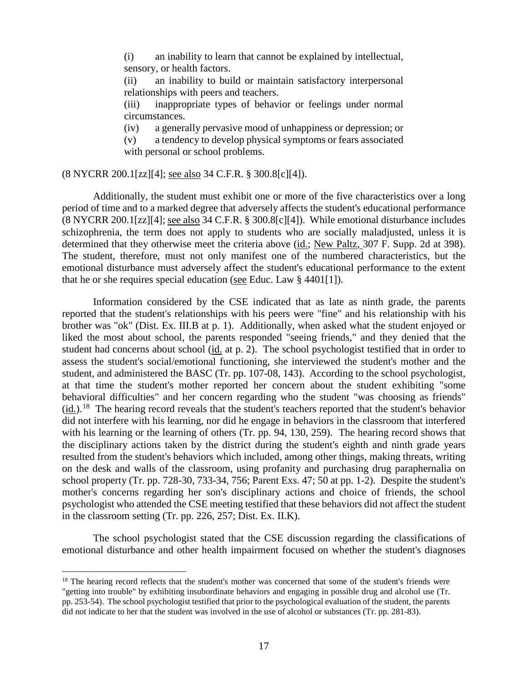(i) an inability to learn that cannot be explained by intellectual, sensory, or health factors.

(ii) an inability to build or maintain satisfactory interpersonal relationships with peers and teachers.

(iii) inappropriate types of behavior or feelings under normal circumstances.

(iv) a generally pervasive mood of unhappiness or depression; or

(v) a tendency to develop physical symptoms or fears associated with personal or school problems.

## (8 NYCRR 200.1[zz][4]; see also 34 C.F.R. § 300.8[c][4]).

Additionally, the student must exhibit one or more of the five characteristics over a long period of time and to a marked degree that adversely affects the student's educational performance (8 NYCRR 200.1[zz][4]; see also 34 C.F.R. § 300.8[c][4]). While emotional disturbance includes schizophrenia, the term does not apply to students who are socially maladjusted, unless it is determined that they otherwise meet the criteria above (id.; New Paltz, 307 F. Supp. 2d at 398). The student, therefore, must not only manifest one of the numbered characteristics, but the emotional disturbance must adversely affect the student's educational performance to the extent that he or she requires special education (see Educ. Law § 4401[1]).

Information considered by the CSE indicated that as late as ninth grade, the parents reported that the student's relationships with his peers were "fine" and his relationship with his brother was "ok" (Dist. Ex. III.B at p. 1). Additionally, when asked what the student enjoyed or liked the most about school, the parents responded "seeing friends," and they denied that the student had concerns about school (id. at p. 2). The school psychologist testified that in order to assess the student's social/emotional functioning, she interviewed the student's mother and the student, and administered the BASC (Tr. pp. 107-08, 143). According to the school psychologist, at that time the student's mother reported her concern about the student exhibiting "some behavioral difficulties" and her concern regarding who the student "was choosing as friends"  $(id.)$ .<sup>18</sup> The hearing record reveals that the student's teachers reported that the student's behavior did not interfere with his learning, nor did he engage in behaviors in the classroom that interfered with his learning or the learning of others (Tr. pp. 94, 130, 259). The hearing record shows that the disciplinary actions taken by the district during the student's eighth and ninth grade years resulted from the student's behaviors which included, among other things, making threats, writing on the desk and walls of the classroom, using profanity and purchasing drug paraphernalia on school property (Tr. pp. 728-30, 733-34, 756; Parent Exs. 47; 50 at pp. 1-2). Despite the student's mother's concerns regarding her son's disciplinary actions and choice of friends, the school psychologist who attended the CSE meeting testified that these behaviors did not affect the student in the classroom setting (Tr. pp. 226, 257; Dist. Ex. II.K).

The school psychologist stated that the CSE discussion regarding the classifications of emotional disturbance and other health impairment focused on whether the student's diagnoses

<sup>&</sup>lt;sup>18</sup> The hearing record reflects that the student's mother was concerned that some of the student's friends were "getting into trouble" by exhibiting insubordinate behaviors and engaging in possible drug and alcohol use (Tr. pp. 253-54). The school psychologist testified that prior to the psychological evaluation of the student, the parents did not indicate to her that the student was involved in the use of alcohol or substances (Tr. pp. 281-83).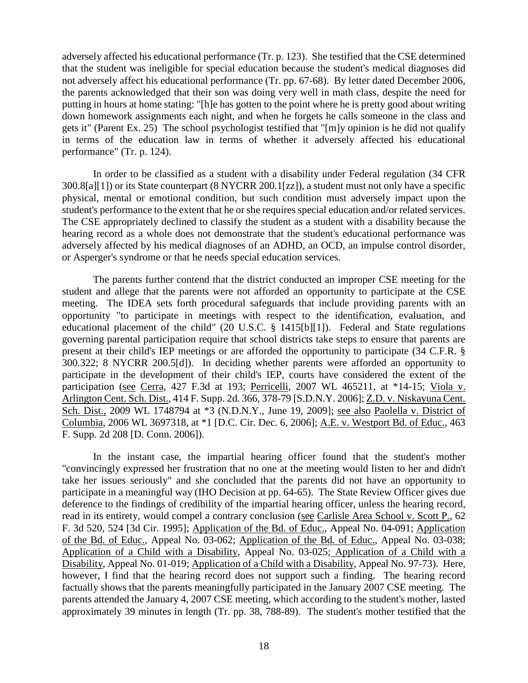adversely affected his educational performance (Tr. p. 123). She testified that the CSE determined that the student was ineligible for special education because the student's medical diagnoses did not adversely affect his educational performance (Tr. pp. 67-68). By letter dated December 2006, the parents acknowledged that their son was doing very well in math class, despite the need for putting in hours at home stating: "[h]e has gotten to the point where he is pretty good about writing down homework assignments each night, and when he forgets he calls someone in the class and gets it" (Parent Ex. 25) The school psychologist testified that "[m]y opinion is he did not qualify in terms of the education law in terms of whether it adversely affected his educational performance" (Tr. p. 124).

In order to be classified as a student with a disability under Federal regulation (34 CFR 300.8[a][1]) or its State counterpart (8 NYCRR 200.1[zz]), a student must not only have a specific physical, mental or emotional condition, but such condition must adversely impact upon the student's performance to the extent that he or she requires special education and/or related services. The CSE appropriately declined to classify the student as a student with a disability because the hearing record as a whole does not demonstrate that the student's educational performance was adversely affected by his medical diagnoses of an ADHD, an OCD, an impulse control disorder, or Asperger's syndrome or that he needs special education services.

The parents further contend that the district conducted an improper CSE meeting for the student and allege that the parents were not afforded an opportunity to participate at the CSE meeting. The IDEA sets forth procedural safeguards that include providing parents with an opportunity "to participate in meetings with respect to the identification, evaluation, and educational placement of the child" (20 U.S.C. § 1415[b][1]). Federal and State regulations governing parental participation require that school districts take steps to ensure that parents are present at their child's IEP meetings or are afforded the opportunity to participate (34 C.F.R. § 300.322; 8 NYCRR 200.5[d]). In deciding whether parents were afforded an opportunity to participate in the development of their child's IEP, courts have considered the extent of the participation (see Cerra, 427 F.3d at 193; Perricelli, 2007 WL 465211, at \*14-15; Viola v. Arlington Cent. Sch. Dist., 414 F. Supp. 2d. 366, 378-79 [S.D.N.Y. 2006]; Z.D. v. Niskayuna Cent. Sch. Dist., 2009 WL 1748794 at \*3 (N.D.N.Y., June 19, 2009]; see also Paolella v. District of Columbia, 2006 WL 3697318, at \*1 [D.C. Cir. Dec. 6, 2006]; A.E. v. Westport Bd. of Educ., 463 F. Supp. 2d 208 [D. Conn. 2006]).

In the instant case, the impartial hearing officer found that the student's mother "convincingly expressed her frustration that no one at the meeting would listen to her and didn't take her issues seriously" and she concluded that the parents did not have an opportunity to participate in a meaningful way (IHO Decision at pp. 64-65). The State Review Officer gives due deference to the findings of credibility of the impartial hearing officer, unless the hearing record, read in its entirety, would compel a contrary conclusion (see Carlisle Area School v. Scott P., 62 F. 3d 520, 524 [3d Cir. 1995]; Application of the Bd. of Educ., Appeal No. 04-091; Application of the Bd. of Educ., Appeal No. 03-062; Application of the Bd. of Educ., Appeal No. 03-038; Application of a Child with a Disability, Appeal No. 03-025; Application of a Child with a Disability, Appeal No. 01-019; Application of a Child with a Disability, Appeal No. 97-73). Here, however, I find that the hearing record does not support such a finding. The hearing record factually shows that the parents meaningfully participated in the January 2007 CSE meeting.The parents attended the January 4, 2007 CSE meeting, which according to the student's mother, lasted approximately 39 minutes in length (Tr. pp. 38, 788-89). The student's mother testified that the